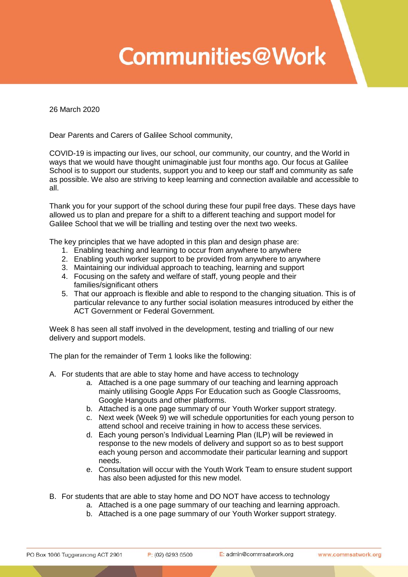## **Communities@Work**

26 March 2020

Dear Parents and Carers of Galilee School community,

COVID-19 is impacting our lives, our school, our community, our country, and the World in ways that we would have thought unimaginable just four months ago. Our focus at Galilee School is to support our students, support you and to keep our staff and community as safe as possible. We also are striving to keep learning and connection available and accessible to all.

Thank you for your support of the school during these four pupil free days. These days have allowed us to plan and prepare for a shift to a different teaching and support model for Galilee School that we will be trialling and testing over the next two weeks.

The key principles that we have adopted in this plan and design phase are:

- 1. Enabling teaching and learning to occur from anywhere to anywhere
- 2. Enabling youth worker support to be provided from anywhere to anywhere
- 3. Maintaining our individual approach to teaching, learning and support
- 4. Focusing on the safety and welfare of staff, young people and their families/significant others
- 5. That our approach is flexible and able to respond to the changing situation. This is of particular relevance to any further social isolation measures introduced by either the ACT Government or Federal Government.

Week 8 has seen all staff involved in the development, testing and trialling of our new delivery and support models.

The plan for the remainder of Term 1 looks like the following:

A. For students that are able to stay home and have access to technology

- a. Attached is a one page summary of our teaching and learning approach mainly utilising Google Apps For Education such as Google Classrooms, Google Hangouts and other platforms.
- b. Attached is a one page summary of our Youth Worker support strategy.
- c. Next week (Week 9) we will schedule opportunities for each young person to attend school and receive training in how to access these services.
- d. Each young person's Individual Learning Plan (ILP) will be reviewed in response to the new models of delivery and support so as to best support each young person and accommodate their particular learning and support needs.
- e. Consultation will occur with the Youth Work Team to ensure student support has also been adjusted for this new model.
- B. For students that are able to stay home and DO NOT have access to technology
	- a. Attached is a one page summary of our teaching and learning approach.
	- b. Attached is a one page summary of our Youth Worker support strategy.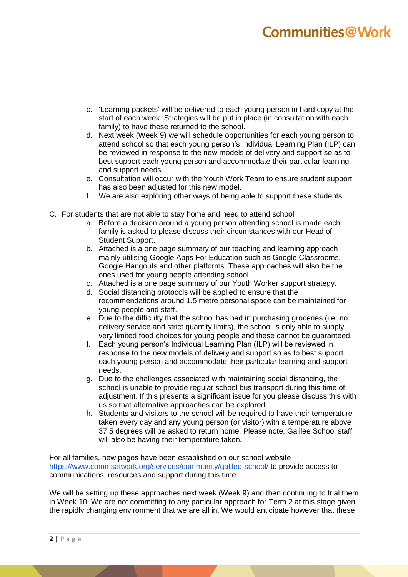## Communities@Work

- c. 'Learning packets' will be delivered to each young person in hard copy at the start of each week. Strategies will be put in place (in consultation with each family) to have these returned to the school.
- d. Next week (Week 9) we will schedule opportunities for each young person to attend school so that each young person's Individual Learning Plan (ILP) can be reviewed in response to the new models of delivery and support so as to best support each young person and accommodate their particular learning and support needs.
- e. Consultation will occur with the Youth Work Team to ensure student support has also been adjusted for this new model.
- f. We are also exploring other ways of being able to support these students.
- C. For students that are not able to stay home and need to attend school
	- a. Before a decision around a young person attending school is made each family is asked to please discuss their circumstances with our Head of Student Support.
	- b. Attached is a one page summary of our teaching and learning approach mainly utilising Google Apps For Education such as Google Classrooms, Google Hangouts and other platforms. These approaches will also be the ones used for young people attending school.
	- c. Attached is a one page summary of our Youth Worker support strategy.
	- d. Social distancing protocols will be applied to ensure that the recommendations around 1.5 metre personal space can be maintained for young people and staff.
	- e. Due to the difficulty that the school has had in purchasing groceries (i.e. no delivery service and strict quantity limits), the school is only able to supply very limited food choices for young people and these cannot be guaranteed.
	- f. Each young person's Individual Learning Plan (ILP) will be reviewed in response to the new models of delivery and support so as to best support each young person and accommodate their particular learning and support needs.
	- g. Due to the challenges associated with maintaining social distancing, the school is unable to provide regular school bus transport during this time of adjustment. If this presents a significant issue for you please discuss this with us so that alternative approaches can be explored.
	- h. Students and visitors to the school will be required to have their temperature taken every day and any young person (or visitor) with a temperature above 37.5 degrees will be asked to return home. Please note, Galilee School staff will also be having their temperature taken.

For all families, new pages have been established on our school website <https://www.commsatwork.org/services/community/galilee-school/> to provide access to communications, resources and support during this time.

We will be setting up these approaches next week (Week 9) and then continuing to trial them in Week 10. We are not committing to any particular approach for Term 2 at this stage given the rapidly changing environment that we are all in. We would anticipate however that these